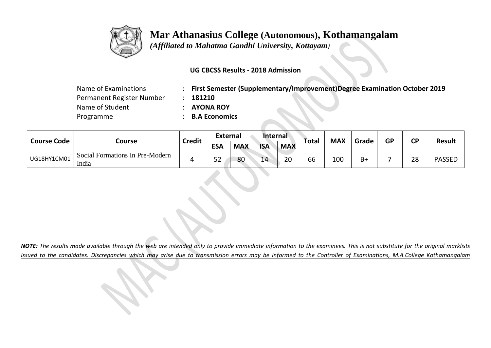

 *(Affiliated to Mahatma Gandhi University, Kottayam)*

### **UG CBCSS Results - 2018 Admission**

| Name of Examinations      | <b>First Semester (Supplementary/Improvement)Degree Examination October 2019</b> |
|---------------------------|----------------------------------------------------------------------------------|
| Permanent Register Number | 181210                                                                           |
| Name of Student           | <b>AYONA ROY</b>                                                                 |
| Programme                 | : B.A Economics                                                                  |

| <b>Course Code</b> |                                          | <b>Credit</b> | <b>External</b> |            | Internal   |            |       |            | Grade | <b>GP</b> | <b>CP</b> |               |
|--------------------|------------------------------------------|---------------|-----------------|------------|------------|------------|-------|------------|-------|-----------|-----------|---------------|
|                    | Course                                   |               | <b>ESA</b>      | <b>MAX</b> | <b>ISA</b> | <b>MAX</b> | Total | <b>MAX</b> |       |           |           | <b>Result</b> |
| UG18HY1CM01        | Social Formations In Pre-Modern<br>India |               | 52              | 80         | 14         | 20         | 66    | 100        | $B+$  |           | 28        | <b>PASSED</b> |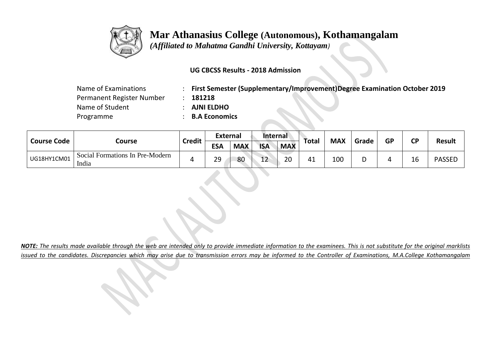

 *(Affiliated to Mahatma Gandhi University, Kottayam)*

### **UG CBCSS Results - 2018 Admission**

| Name of Examinations      | <b>First Semester (Supplementary/Improvement)Degree Examination October 2019</b> |
|---------------------------|----------------------------------------------------------------------------------|
| Permanent Register Number | 181218                                                                           |
| Name of Student           | <b>AJNI ELDHO</b>                                                                |
| Programme                 | <b>B.A Economics</b>                                                             |

| <b>Course Code</b> |                                          | <b>Credit</b> | <b>External</b> |            | Internal     |            |       | <b>MAX</b> | Grade |           | <b>CP</b> |               |
|--------------------|------------------------------------------|---------------|-----------------|------------|--------------|------------|-------|------------|-------|-----------|-----------|---------------|
|                    | Course                                   |               | <b>ESA</b>      | <b>MAX</b> | <b>ISA</b>   | <b>MAX</b> | Total |            |       | <b>GP</b> |           | <b>Result</b> |
| UG18HY1CM01        | Social Formations In Pre-Modern<br>India | 4             | 29              | 80         | $\sim$<br>ᅩᄼ | 20         | 41    | 100        | ◡     |           | 16        | <b>PASSED</b> |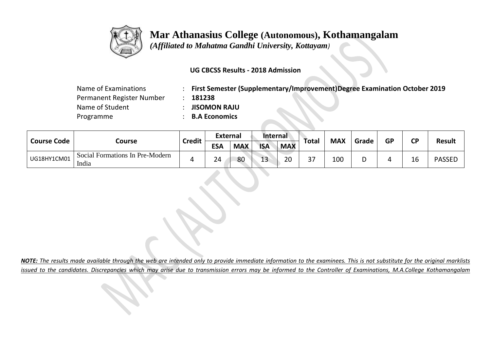

 *(Affiliated to Mahatma Gandhi University, Kottayam)*

#### **UG CBCSS Results - 2018 Admission**

| Name of Examinations      |                      | First Semester (Supplementary/Improvement)Degree Examination October 2019 |
|---------------------------|----------------------|---------------------------------------------------------------------------|
| Permanent Register Number | 181238               |                                                                           |
| Name of Student           | <b>JISOMON RAJU</b>  |                                                                           |
| Programme                 | <b>B.A Economics</b> |                                                                           |

| <b>Course Code</b> |                                          | <b>Credit</b> | <b>External</b> |            | Internal    |            |       | <b>MAX</b> | Grade | <b>GP</b> | СP | Result        |
|--------------------|------------------------------------------|---------------|-----------------|------------|-------------|------------|-------|------------|-------|-----------|----|---------------|
|                    | Course                                   |               | <b>ESA</b>      | <b>MAX</b> | <b>ISA</b>  | <b>MAX</b> | Total |            |       |           |    |               |
| UG18HY1CM01        | Social Formations In Pre-Modern<br>India |               | 24              | 80         | $\sim$<br>ᅩ | 20         | 37    | 100        |       |           | 16 | <b>PASSED</b> |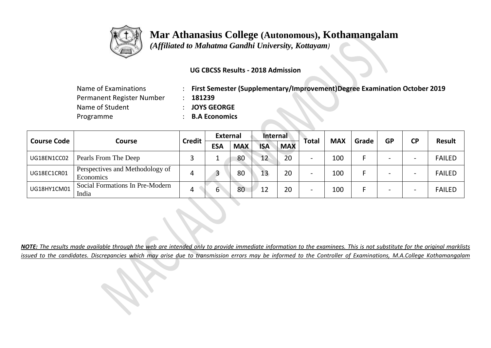

 *(Affiliated to Mahatma Gandhi University, Kottayam)*

### **UG CBCSS Results - 2018 Admission**

| Name of Examinations      | : First Semester (Supplementary/Improvement)Degree Examination October 2019 |  |
|---------------------------|-----------------------------------------------------------------------------|--|
| Permanent Register Number | 181239                                                                      |  |
| Name of Student           | <b>JOYS GEORGE</b>                                                          |  |
| Programme                 | <b>B.A Economics</b>                                                        |  |

| <b>Course Code</b> |                                              |               | <b>External</b> |            | Internal   |            |              | <b>MAX</b> | Grade | <b>GP</b> | <b>CP</b>                | <b>Result</b> |
|--------------------|----------------------------------------------|---------------|-----------------|------------|------------|------------|--------------|------------|-------|-----------|--------------------------|---------------|
|                    | Course                                       | <b>Credit</b> | <b>ESA</b>      | <b>MAX</b> | <b>ISA</b> | <b>MAX</b> | <b>Total</b> |            |       |           |                          |               |
| UG18EN1CC02        | Pearls From The Deep                         |               |                 | 80         | 12         | 20         | -            | 100        |       |           | $\overline{\phantom{0}}$ | <b>FAILED</b> |
| UG18EC1CR01        | Perspectives and Methodology of<br>Economics | 4             | 3               | 80         | 13         | 20         | -            | 100        |       |           | $\overline{\phantom{0}}$ | <b>FAILED</b> |
| UG18HY1CM01        | Social Formations In Pre-Modern<br>India     | 4             | b               | 80         | 12         | 20         | -            | 100        |       |           | -                        | <b>FAILED</b> |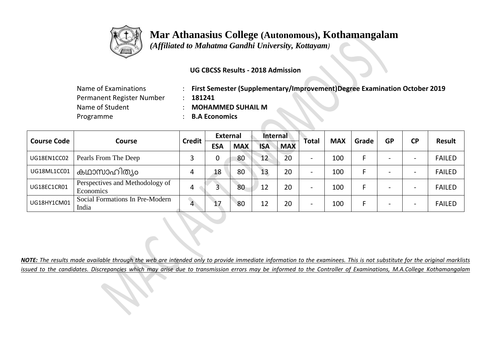

 *(Affiliated to Mahatma Gandhi University, Kottayam)*

### **UG CBCSS Results - 2018 Admission**

| Name of Examinations      |
|---------------------------|
| Permanent Register Number |
| Name of Student           |
| Programme                 |

Name of Examinations : **First Semester (Supplementary/Improvement)Degree Examination October 2019**

Permanent Register Number : **181241**

**MOHAMMED SUHAIL M** 

**B.A Economics** 

| <b>Course Code</b> |                                              | <b>Credit</b>  | <b>External</b> |            | Internal   |            |                          | <b>MAX</b> | Grade | <b>GP</b> | <b>CP</b>                | Result        |
|--------------------|----------------------------------------------|----------------|-----------------|------------|------------|------------|--------------------------|------------|-------|-----------|--------------------------|---------------|
|                    | <b>Course</b>                                |                | <b>ESA</b>      | <b>MAX</b> | <b>ISA</b> | <b>MAX</b> | Total                    |            |       |           |                          |               |
| UG18EN1CC02        | Pearls From The Deep                         |                | 0               | 80         | 12         | 20         | $\overline{\phantom{0}}$ | 100        |       |           | $\overline{\phantom{0}}$ | <b>FAILED</b> |
| UG18ML1CC01        | കഥാസാഹിത്യം                                  | 4              | 18              | 80         | 13         | 20         |                          | 100        |       |           | -                        | <b>FAILED</b> |
| UG18EC1CR01        | Perspectives and Methodology of<br>Economics | 4              |                 | 80         | 12         | 20         | -                        | 100        |       |           | $\overline{\phantom{0}}$ | <b>FAILED</b> |
| UG18HY1CM01        | Social Formations In Pre-Modern<br>India     | $\overline{4}$ | 17              | 80         | 12         | 20         | $\overline{\phantom{0}}$ | 100        |       |           | $\overline{\phantom{0}}$ | <b>FAILED</b> |